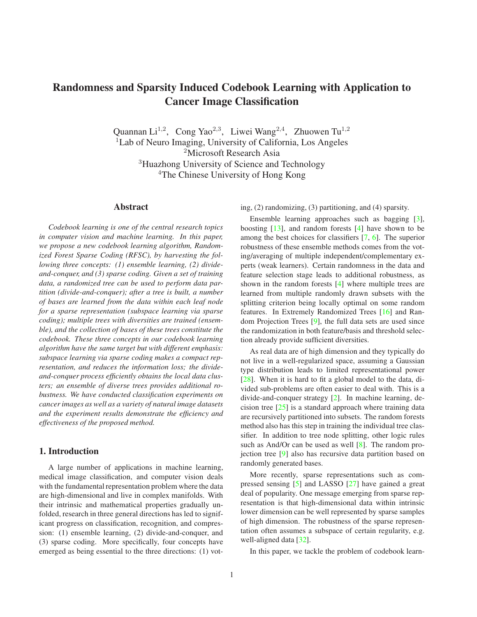# <span id="page-0-0"></span>Randomness and Sparsity Induced Codebook Learning with Application to Cancer Image Classification

Quannan Li<sup>1,2</sup>, Cong Yao<sup>2,3</sup>, Liwei Wang<sup>2,4</sup>, Zhuowen Tu<sup>1,2</sup> <sup>1</sup>Lab of Neuro Imaging, University of California, Los Angeles <sup>2</sup>Microsoft Research Asia <sup>3</sup>Huazhong University of Science and Technology <sup>4</sup>The Chinese University of Hong Kong

# Abstract

*Codebook learning is one of the central research topics in computer vision and machine learning. In this paper, we propose a new codebook learning algorithm, Randomized Forest Sparse Coding (RFSC), by harvesting the following three concepts: (1) ensemble learning, (2) divideand-conquer, and (3) sparse coding. Given a set of training data, a randomized tree can be used to perform data partition (divide-and-conquer); after a tree is built, a number of bases are learned from the data within each leaf node for a sparse representation (subspace learning via sparse coding); multiple trees with diversities are trained (ensemble), and the collection of bases of these trees constitute the codebook. These three concepts in our codebook learning algorithm have the same target but with different emphasis: subspace learning via sparse coding makes a compact representation, and reduces the information loss; the divideand-conquer process efficiently obtains the local data clusters; an ensemble of diverse trees provides additional robustness. We have conducted classification experiments on cancer images as well as a variety of natural image datasets and the experiment results demonstrate the efficiency and effectiveness of the proposed method.*

# 1. Introduction

A large number of applications in machine learning, medical image classification, and computer vision deals with the fundamental representation problem where the data are high-dimensional and live in complex manifolds. With their intrinsic and mathematical properties gradually unfolded, research in three general directions has led to significant progress on classification, recognition, and compression: (1) ensemble learning, (2) divide-and-conquer, and (3) sparse coding. More specifically, four concepts have emerged as being essential to the three directions: (1) voting, (2) randomizing, (3) partitioning, and (4) sparsity.

Ensemble learning approaches such as bagging [\[3\]](#page-7-0), boosting  $[13]$ , and random forests  $[4]$  have shown to be among the best choices for classifiers [\[7,](#page-7-3) [6\]](#page-7-4). The superior robustness of these ensemble methods comes from the voting/averaging of multiple independent/complementary experts (weak learners). Certain randomness in the data and feature selection stage leads to additional robustness, as shown in the random forests [\[4\]](#page-7-2) where multiple trees are learned from multiple randomly drawn subsets with the splitting criterion being locally optimal on some random features. In Extremely Randomized Trees [\[16\]](#page-7-5) and Random Projection Trees [\[9\]](#page-7-6), the full data sets are used since the randomization in both feature/basis and threshold selection already provide sufficient diversities.

As real data are of high dimension and they typically do not live in a well-regularized space, assuming a Gaussian type distribution leads to limited representational power [\[28\]](#page-7-7). When it is hard to fit a global model to the data, divided sub-problems are often easier to deal with. This is a divide-and-conquer strategy [\[2\]](#page-7-8). In machine learning, decision tree  $[25]$  is a standard approach where training data are recursively partitioned into subsets. The random forests method also has this step in training the individual tree classifier. In addition to tree node splitting, other logic rules such as And/Or can be used as well [\[8\]](#page-7-10). The random projection tree [\[9\]](#page-7-6) also has recursive data partition based on randomly generated bases.

More recently, sparse representations such as compressed sensing [\[5\]](#page-7-11) and LASSO [\[27\]](#page-7-12) have gained a great deal of popularity. One message emerging from sparse representation is that high-dimensional data within intrinsic lower dimension can be well represented by sparse samples of high dimension. The robustness of the sparse representation often assumes a subspace of certain regularity, e.g. well-aligned data [\[32\]](#page-7-13).

In this paper, we tackle the problem of codebook learn-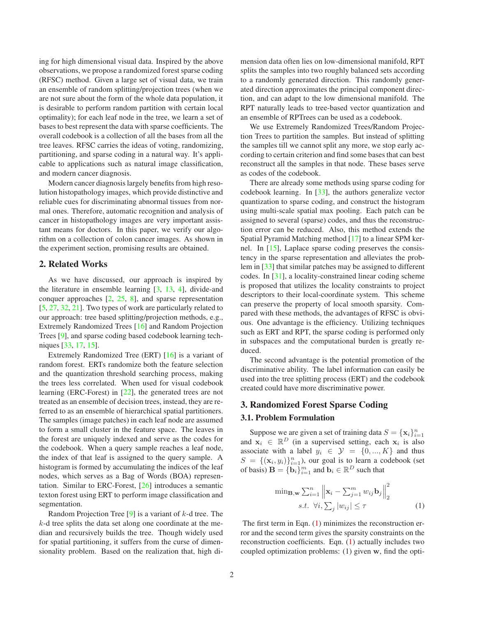<span id="page-1-1"></span>ing for high dimensional visual data. Inspired by the above observations, we propose a randomized forest sparse coding (RFSC) method. Given a large set of visual data, we train an ensemble of random splitting/projection trees (when we are not sure about the form of the whole data population, it is desirable to perform random partition with certain local optimality); for each leaf node in the tree, we learn a set of bases to best represent the data with sparse coefficients. The overall codebook is a collection of all the bases from all the tree leaves. RFSC carries the ideas of voting, randomizing, partitioning, and sparse coding in a natural way. It's applicable to applications such as natural image classification, and modern cancer diagnosis.

Modern cancer diagnosis largely benefits from high resolution histopathology images, which provide distinctive and reliable cues for discriminating abnormal tissues from normal ones. Therefore, automatic recognition and analysis of cancer in histopathology images are very important assistant means for doctors. In this paper, we verify our algorithm on a collection of colon cancer images. As shown in the experiment section, promising results are obtained.

# 2. Related Works

As we have discussed, our approach is inspired by the literature in ensemble learning [\[3,](#page-7-0) [13,](#page-7-1) [4\]](#page-7-2), divide-and conquer approaches  $[2, 25, 8]$  $[2, 25, 8]$  $[2, 25, 8]$  $[2, 25, 8]$  $[2, 25, 8]$ , and sparse representation [\[5,](#page-7-11) [27,](#page-7-12) [32,](#page-7-13) [21\]](#page-7-14). Two types of work are particularly related to our approach: tree based splitting/projection methods, e.g., Extremely Randomized Trees [\[16\]](#page-7-5) and Random Projection Trees [\[9\]](#page-7-6), and sparse coding based codebook learning techniques [\[33,](#page-7-15) [17,](#page-7-16) [15\]](#page-7-17).

Extremely Randomized Tree (ERT) [\[16\]](#page-7-5) is a variant of random forest. ERTs randomize both the feature selection and the quantization threshold searching process, making the trees less correlated. When used for visual codebook learning (ERC-Forest) in [\[22\]](#page-7-18), the generated trees are not treated as an ensemble of decision trees, instead, they are referred to as an ensemble of hierarchical spatial partitioners. The samples (image patches) in each leaf node are assumed to form a small cluster in the feature space. The leaves in the forest are uniquely indexed and serve as the codes for the codebook. When a query sample reaches a leaf node, the index of that leaf is assigned to the query sample. A histogram is formed by accumulating the indices of the leaf nodes, which serves as a Bag of Words (BOA) representation. Similar to ERC-Forest, [\[26\]](#page-7-19) introduces a semantic texton forest using ERT to perform image classification and segmentation.

Random Projection Tree  $[9]$  is a variant of  $k$ -d tree. The k-d tree splits the data set along one coordinate at the median and recursively builds the tree. Though widely used for spatial partitioning, it suffers from the curse of dimensionality problem. Based on the realization that, high dimension data often lies on low-dimensional manifold, RPT splits the samples into two roughly balanced sets according to a randomly generated direction. This randomly generated direction approximates the principal component direction, and can adapt to the low dimensional manifold. The RPT naturally leads to tree-based vector quantization and an ensemble of RPTrees can be used as a codebook.

We use Extremely Randomized Trees/Random Projection Trees to partition the samples. But instead of splitting the samples till we cannot split any more, we stop early according to certain criterion and find some bases that can best reconstruct all the samples in that node. These bases serve as codes of the codebook.

There are already some methods using sparse coding for codebook learning. In [\[33\]](#page-7-15), the authors generalize vector quantization to sparse coding, and construct the histogram using multi-scale spatial max pooling. Each patch can be assigned to several (sparse) codes, and thus the reconstruction error can be reduced. Also, this method extends the Spatial Pyramid Matching method [\[17\]](#page-7-16) to a linear SPM kernel. In [\[15\]](#page-7-17), Laplace sparse coding preserves the consistency in the sparse representation and alleviates the problem in [\[33\]](#page-7-15) that similar patches may be assigned to different codes. In [\[31\]](#page-7-20), a locality-constrained linear coding scheme is proposed that utilizes the locality constraints to project descriptors to their local-coordinate system. This scheme can preserve the property of local smooth sparsity. Compared with these methods, the advantages of RFSC is obvious. One advantage is the efficiency. Utilizing techniques such as ERT and RPT, the sparse coding is performed only in subspaces and the computational burden is greatly reduced.

The second advantage is the potential promotion of the discriminative ability. The label information can easily be used into the tree splitting process (ERT) and the codebook created could have more discriminative power.

# 3. Randomized Forest Sparse Coding

#### 3.1. Problem Formulation

Suppose we are given a set of training data  $S = {\mathbf{x}_i}_{i=1}^n$ and  $x_i \in \mathbb{R}^D$  (in a supervised setting, each  $x_i$  is also associate with a label  $y_i \in \mathcal{Y} = \{0, ..., K\}$  and thus  $S = \{(\mathbf{x}_i, y_i)\}_{i=1}^n$ , our goal is to learn a codebook (set of basis)  $\mathbf{B} = \{\mathbf{b}_i\}_{i=1}^m$  and  $\mathbf{b}_i \in \mathbb{R}^D$  such that

<span id="page-1-0"></span>
$$
\min_{\mathbf{B}, \mathbf{w}} \sum_{i=1}^{n} \left\| \mathbf{x}_i - \sum_{j=1}^{m} w_{ij} \mathbf{b}_j \right\|_2^2
$$
  
s.t.  $\forall i, \sum_j |w_{ij}| \leq \tau$  (1)

The first term in Eqn.  $(1)$  minimizes the reconstruction error and the second term gives the sparsity constraints on the reconstruction coefficients. Eqn. [\(1\)](#page-1-0) actually includes two coupled optimization problems: (1) given w, find the opti-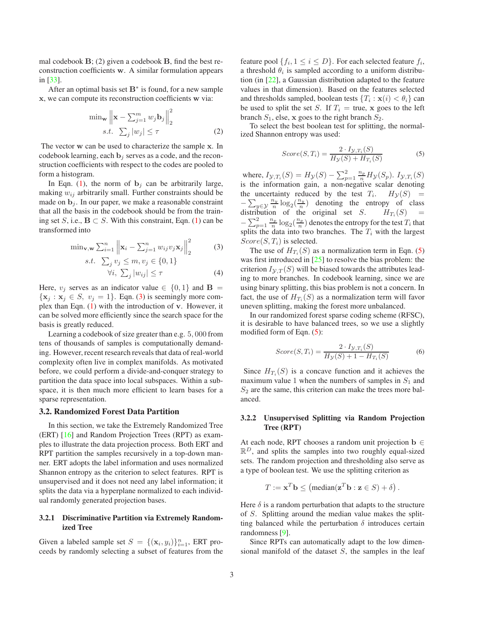<span id="page-2-2"></span>mal codebook B; (2) given a codebook B, find the best reconstruction coefficients w. A similar formulation appears in [\[33\]](#page-7-15).

After an optimal basis set  $B^*$  is found, for a new sample x, we can compute its reconstruction coefficients w via:

$$
\min_{\mathbf{w}} \left\| \mathbf{x} - \sum_{j=1}^{m} w_j \mathbf{b}_j \right\|_2^2
$$
  
s.t. 
$$
\sum_j |w_j| \le \tau
$$
 (2)

The vector w can be used to characterize the sample x. In codebook learning, each  $b_i$  serves as a code, and the reconstruction coefficients with respect to the codes are pooled to form a histogram.

In Eqn. [\(1\)](#page-1-0), the norm of  $\mathbf{b}_j$  can be arbitrarily large, making  $w_{ij}$  arbitrarily small. Further constraints should be made on  $\mathbf{b}_i$ . In our paper, we make a reasonable constraint that all the basis in the codebook should be from the training set S, i.e.,  $B \subset S$ . With this constraint, Eqn. [\(1\)](#page-1-0) can be transformed into

<span id="page-2-0"></span>
$$
\min_{\mathbf{v}, \mathbf{w}} \sum_{i=1}^{n} \left\| \mathbf{x}_i - \sum_{j=1}^{n} w_{ij} v_j \mathbf{x}_j \right\|_2^2 \tag{3}
$$

s.t. 
$$
\sum_{j} v_j \le m, v_j \in \{0, 1\}
$$
  
\n $\forall i, \sum_{j} |w_{ij}| \le \tau$  (4)

Here,  $v_i$  serves as an indicator value  $\in \{0, 1\}$  and  $\mathbf{B} =$  $\{x_i : x_i \in S, v_i = 1\}$ . Eqn. [\(3\)](#page-2-0) is seemingly more complex than Eqn. [\(1\)](#page-1-0) with the introduction of v. However, it can be solved more efficiently since the search space for the basis is greatly reduced.

Learning a codebook of size greater than e.g. 5, 000 from tens of thousands of samples is computationally demanding. However, recent research reveals that data of real-world complexity often live in complex manifolds. As motivated before, we could perform a divide-and-conquer strategy to partition the data space into local subspaces. Within a subspace, it is then much more efficient to learn bases for a sparse representation.

# 3.2. Randomized Forest Data Partition

In this section, we take the Extremely Randomized Tree (ERT) [\[16\]](#page-7-5) and Random Projection Trees (RPT) as examples to illustrate the data projection process. Both ERT and RPT partition the samples recursively in a top-down manner. ERT adopts the label information and uses normalized Shannon entropy as the criterion to select features. RPT is unsupervised and it does not need any label information; it splits the data via a hyperplane normalized to each individual randomly generated projection bases.

# 3.2.1 Discriminative Partition via Extremely Randomized Tree

Given a labeled sample set  $S = \{(\mathbf{x}_i, y_i)\}_{i=1}^n$ , ERT proceeds by randomly selecting a subset of features from the

feature pool  $\{f_i, 1 \leq i \leq D\}$ . For each selected feature  $f_i$ , a threshold  $\theta_i$  is sampled according to a uniform distribution (in [\[22\]](#page-7-18), a Gaussian distribution adapted to the feature values in that dimension). Based on the features selected and thresholds sampled, boolean tests  $\{T_i : \mathbf{x}(i) < \theta_i\}$  can be used to split the set S. If  $T_i$  = true, x goes to the left branch  $S_1$ , else, x goes to the right branch  $S_2$ .

To select the best boolean test for splitting, the normalized Shannon entropy was used:

<span id="page-2-1"></span>
$$
Score(S, T_i) = \frac{2 \cdot I_{\mathcal{Y}, T_i}(S)}{H_{\mathcal{Y}}(S) + H_{T_i}(S)}
$$
(5)

where,  $I_{\mathcal{Y}, T_i}(S) = H_{\mathcal{Y}}(S) - \sum_{p=1}^2 \frac{n_p}{n} H_{\mathcal{Y}}(S_p)$ .  $I_{\mathcal{Y}, T_i}(S)$ is the information gain, a non-negative scalar denoting the uncertainty reduced by the test  $T_i$ .  $H_y(S)$  =  $-\sum_{y\in\mathcal{Y}}\frac{n_y}{n}\log_2(\frac{n_y}{n})$  denoting the entropy of class distribution of the original set S.  $H_{T_i}(S)$  =  $-\sum_{p=1}^2 \frac{n_p}{n} \log_2(\frac{n_p}{n})$  denotes the entropy for the test  $T_i$  that splits the data into two branches. The  $T_i$  with the largest  $Score(S, T_i)$  is selected.

The use of  $H_{T_i}(S)$  as a normalization term in Eqn. [\(5\)](#page-2-1) was first introduced in [\[25\]](#page-7-9) to resolve the bias problem: the criterion  $I_{\mathcal{V},T}(S)$  will be biased towards the attributes leading to more branches. In codebook learning, since we are using binary splitting, this bias problem is not a concern. In fact, the use of  $H_{T_i}(S)$  as a normalization term will favor uneven splitting, making the forest more unbalanced.

In our randomized forest sparse coding scheme (RFSC), it is desirable to have balanced trees, so we use a slightly modified form of Eqn. [\(5\)](#page-2-1):

$$
Score(S, T_i) = \frac{2 \cdot I_{\mathcal{Y}, T_i}(S)}{H_{\mathcal{Y}}(S) + 1 - H_{T_i}(S)}
$$
(6)

Since  $H_{T_i}(S)$  is a concave function and it achieves the maximum value 1 when the numbers of samples in  $S_1$  and  $S<sub>2</sub>$  are the same, this criterion can make the trees more balanced.

# 3.2.2 Unsupervised Splitting via Random Projection Tree (RPT)

At each node, RPT chooses a random unit projection  $\mathbf{b} \in$  $\mathbb{R}^D$ , and splits the samples into two roughly equal-sized sets. The random projection and thresholding also serve as a type of boolean test. We use the splitting criterion as

$$
T := \mathbf{x}^T \mathbf{b} \leq \left( \text{median}(\mathbf{z}^T \mathbf{b} : \mathbf{z} \in S) + \delta \right).
$$

Here  $\delta$  is a random perturbation that adapts to the structure of S. Splitting around the median value makes the splitting balanced while the perturbation  $\delta$  introduces certain randomness [\[9\]](#page-7-6).

Since RPTs can automatically adapt to the low dimensional manifold of the dataset  $S$ , the samples in the leaf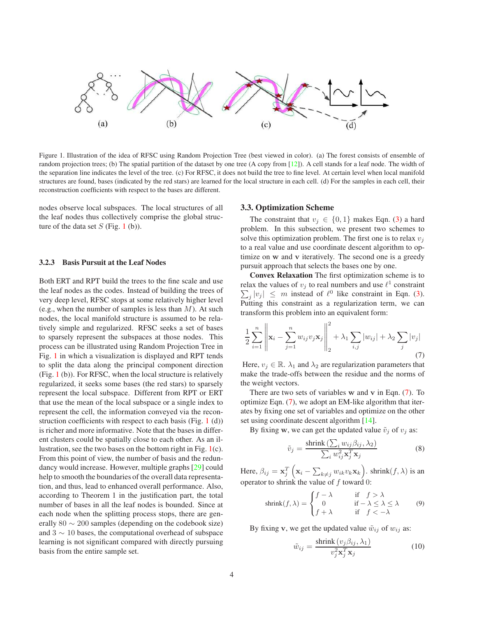<span id="page-3-2"></span>

<span id="page-3-0"></span>Figure 1. Illustration of the idea of RFSC using Random Projection Tree (best viewed in color). (a) The forest consists of ensemble of random projection trees; (b) The spatial partition of the dataset by one tree (A copy from [\[12\]](#page-7-21)). A cell stands for a leaf node. The width of the separation line indicates the level of the tree. (c) For RFSC, it does not build the tree to fine level. At certain level when local manifold structures are found, bases (indicated by the red stars) are learned for the local structure in each cell. (d) For the samples in each cell, their reconstruction coefficients with respect to the bases are different.

nodes observe local subspaces. The local structures of all the leaf nodes thus collectively comprise the global structure of the data set  $S$  (Fig. [1](#page-3-0) (b)).

#### 3.2.3 Basis Pursuit at the Leaf Nodes

Both ERT and RPT build the trees to the fine scale and use the leaf nodes as the codes. Instead of building the trees of very deep level, RFSC stops at some relatively higher level (e.g., when the number of samples is less than  $M$ ). At such nodes, the local manifold structure is assumed to be relatively simple and regularized. RFSC seeks a set of bases to sparsely represent the subspaces at those nodes. This process can be illustrated using Random Projection Tree in Fig. [1](#page-3-0) in which a visualization is displayed and RPT tends to split the data along the principal component direction (Fig. [1](#page-3-0) (b)). For RFSC, when the local structure is relatively regularized, it seeks some bases (the red stars) to sparsely represent the local subspace. Different from RPT or ERT that use the mean of the local subspace or a single index to represent the cell, the information conveyed via the recon-struction coefficients with respect to each basis (Fig. [1](#page-3-0) (d)) is richer and more informative. Note that the bases in different clusters could be spatially close to each other. As an illustration, see the two bases on the bottom right in Fig. [1\(](#page-3-0)c). From this point of view, the number of basis and the redundancy would increase. However, multiple graphs [\[29\]](#page-7-22) could help to smooth the boundaries of the overall data representation, and thus, lead to enhanced overall performance. Also, according to Theorem 1 in the justification part, the total number of bases in all the leaf nodes is bounded. Since at each node when the splitting process stops, there are generally 80  $\sim$  200 samples (depending on the codebook size) and 3 ∼ 10 bases, the computational overhead of subspace learning is not significant compared with directly pursuing basis from the entire sample set.

#### 3.3. Optimization Scheme

The constraint that  $v_i \in \{0, 1\}$  makes Eqn. [\(3\)](#page-2-0) a hard problem. In this subsection, we present two schemes to solve this optimization problem. The first one is to relax  $v_i$ to a real value and use coordinate descent algorithm to optimize on w and v iteratively. The second one is a greedy pursuit approach that selects the bases one by one.

Convex Relaxation The first optimization scheme is to relax the values of  $v_j$  to real numbers and use  $\ell^1$  constraint  $\sum_j |v_j| \leq m$  instead of  $\ell^0$  like constraint in Eqn. [\(3\)](#page-2-0). Putting this constraint as a regularization term, we can transform this problem into an equivalent form:

<span id="page-3-1"></span>
$$
\frac{1}{2} \sum_{i=1}^{n} \left\| \mathbf{x}_{i} - \sum_{j=1}^{n} w_{ij} v_{j} \mathbf{x}_{j} \right\|_{2}^{2} + \lambda_{1} \sum_{i,j} |w_{ij}| + \lambda_{2} \sum_{j} |v_{j}| \tag{7}
$$

Here,  $v_i \in \mathbb{R}$ .  $\lambda_1$  and  $\lambda_2$  are regularization parameters that make the trade-offs between the residue and the norms of the weight vectors.

There are two sets of variables w and v in Eqn. [\(7\)](#page-3-1). To optimize Eqn. [\(7\)](#page-3-1), we adopt an EM-like algorithm that iterates by fixing one set of variables and optimize on the other set using coordinate descent algorithm [\[14\]](#page-7-23).

By fixing w, we can get the updated value  $\tilde{v}_i$  of  $v_i$  as:

$$
\tilde{v}_j = \frac{\text{shrink}\left(\sum_i w_{ij}\beta_{ij}, \lambda_2\right)}{\sum_i w_{ij}^2 \mathbf{x}_j^T \mathbf{x}_j} \tag{8}
$$

Here,  $\beta_{ij} = \mathbf{x}_j^T \left( \mathbf{x}_i - \sum_{k \neq j} w_{ik} v_k \mathbf{x}_k \right)$ . shrink $(f, \lambda)$  is an operator to shrink the value of  $f$  toward 0:

$$
\text{shrink}(f,\lambda) = \begin{cases} f - \lambda & \text{if } f > \lambda \\ 0 & \text{if } -\lambda \le \lambda \le \lambda \\ f + \lambda & \text{if } f < -\lambda \end{cases} \tag{9}
$$

By fixing v, we get the updated value  $\tilde{w}_{ij}$  of  $w_{ij}$  as:

$$
\tilde{w}_{ij} = \frac{\text{shrink}\left(v_j \beta_{ij}, \lambda_1\right)}{v_j^2 \mathbf{x}_j^T \mathbf{x}_j} \tag{10}
$$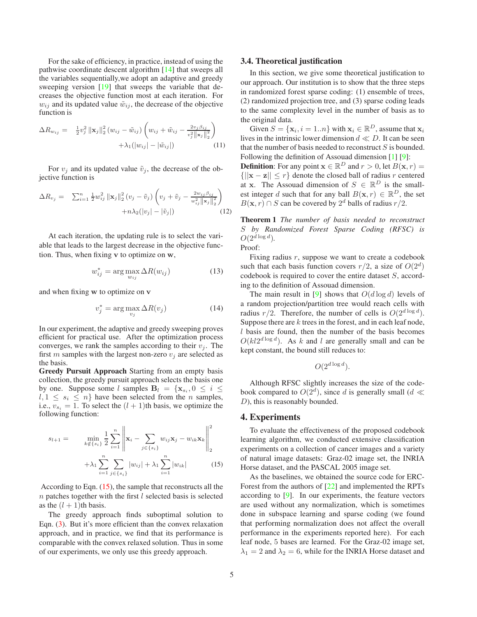<span id="page-4-1"></span>For the sake of efficiency, in practice, instead of using the pathwise coordinate descent algorithm [\[14\]](#page-7-23) that sweeps all the variables sequentially,we adopt an adaptive and greedy sweeping version [\[19\]](#page-7-24) that sweeps the variable that decreases the objective function most at each iteration. For  $w_{ij}$  and its updated value  $\tilde{w}_{ij}$ , the decrease of the objective function is

$$
\Delta R_{w_{ij}} = \frac{1}{2} v_j^2 \left\| \mathbf{x}_j \right\|_2^2 \left( w_{ij} - \tilde{w}_{ij} \right) \left( w_{ij} + \tilde{w}_{ij} - \frac{2v_j \beta_{ij}}{v_j^2 \left\| \mathbf{x}_j \right\|_2^2} \right) + \lambda_1 \left( \left| w_{ij} \right| - \left| \tilde{w}_{ij} \right| \right) \tag{11}
$$

For  $v_j$  and its updated value  $\tilde{v}_j$ , the decrease of the objective function is

$$
\Delta R_{v_j} = \sum_{i=1}^n \frac{1}{2} w_{ij}^2 \left\| \mathbf{x}_j \right\|_2^2 (v_j - \tilde{v}_j) \left( v_j + \tilde{v}_j - \frac{2 w_{ij} \beta_{ij}}{w_{ij}^2 \left\| \mathbf{x}_j \right\|_2^2} \right) + n \lambda_2 (|v_j| - |\tilde{v}_j|) \tag{12}
$$

At each iteration, the updating rule is to select the variable that leads to the largest decrease in the objective function. Thus, when fixing v to optimize on w,

$$
w_{ij}^* = \arg\max_{w_{ij}} \Delta R(w_{ij})
$$
 (13)

and when fixing w to optimize on v

$$
v_j^* = \arg\max_{v_j} \Delta R(v_j)
$$
 (14)

In our experiment, the adaptive and greedy sweeping proves efficient for practical use. After the optimization process converges, we rank the samples according to their  $v_j$ . The first m samples with the largest non-zero  $v_i$  are selected as the basis.

Greedy Pursuit Approach Starting from an empty basis collection, the greedy pursuit approach selects the basis one by one. Suppose some l samples  $B_l = \{x_{s_i}, 0 \le i \le$  $l, 1 \leq s_i \leq n$  have been selected from the *n* samples, i.e.,  $v_{s_i} = 1$ . To select the  $(l + 1)$ th basis, we optimize the following function:

<span id="page-4-0"></span>
$$
s_{l+1} = \min_{k \notin \{s_i\}} \frac{1}{2} \sum_{i=1}^n \left\| \mathbf{x}_i - \sum_{j \in \{s_i\}} w_{ij} \mathbf{x}_j - w_{ik} \mathbf{x}_k \right\|_2^2
$$

$$
+ \lambda_1 \sum_{i=1}^n \sum_{j \in \{s_i\}} |w_{ij}| + \lambda_1 \sum_{i=1}^n |w_{ik}| \tag{15}
$$

According to Eqn. [\(15\)](#page-4-0), the sample that reconstructs all the  $n$  patches together with the first  $l$  selected basis is selected as the  $(l + 1)$ th basis.

The greedy approach finds suboptimal solution to Eqn. [\(3\)](#page-2-0). But it's more efficient than the convex relaxation approach, and in practice, we find that its performance is comparable with the convex relaxed solution. Thus in some of our experiments, we only use this greedy approach.

#### 3.4. Theoretical justification

In this section, we give some theoretical justification to our approach. Our institution is to show that the three steps in randomized forest sparse coding: (1) ensemble of trees, (2) randomized projection tree, and (3) sparse coding leads to the same complexity level in the number of basis as to the original data.

Given  $S = {\mathbf{x}_i, i = 1..n}$  with  $\mathbf{x}_i \in \mathbb{R}^D$ , assume that  $\mathbf{x}_i$ lives in the intrinsic lower dimension  $d \ll D$ . It can be seen that the number of basis needed to reconstruct  $S$  is bounded. Following the definition of Assouad dimension [\[1\]](#page-7-25) [\[9\]](#page-7-6):

**Definition:** For any point  $\mathbf{x} \in \mathbb{R}^D$  and  $r > 0$ , let  $B(\mathbf{x}, r) =$  $\{|x - z| \leq r\}$  denote the closed ball of radius r centered at x. The Assouad dimension of  $S \in \mathbb{R}^D$  is the smallest integer d such that for any ball  $B(\mathbf{x}, r) \in \mathbb{R}^D$ , the set  $B(\mathbf{x}, r) \cap S$  can be covered by  $2^d$  balls of radius  $r/2$ .

Theorem 1 *The number of basis needed to reconstruct* S *by Randomized Forest Sparse Coding (RFSC) is*  $O(2^{d \log d}).$ 

Proof:

Fixing radius  $r$ , suppose we want to create a codebook such that each basis function covers  $r/2$ , a size of  $O(2<sup>d</sup>)$ codebook is required to cover the entire dataset S, according to the definition of Assouad dimension.

The main result in [\[9\]](#page-7-6) shows that  $O(d \log d)$  levels of a random projection/partition tree would reach cells with radius  $r/2$ . Therefore, the number of cells is  $O(2^{d \log d})$ . Suppose there are  $k$  trees in the forest, and in each leaf node, l basis are found, then the number of the basis becomes  $O(kl2^{d \log d})$ . As k and l are generally small and can be kept constant, the bound still reduces to:

 $O(2^{d \log d}).$ 

Although RFSC slightly increases the size of the codebook compared to  $O(2<sup>d</sup>)$ , since d is generally small ( $d \ll$ D), this is reasonably bounded.

# 4. Experiments

To evaluate the effectiveness of the proposed codebook learning algorithm, we conducted extensive classification experiments on a collection of cancer images and a variety of natural image datasets: Graz-02 image set, the INRIA Horse dataset, and the PASCAL 2005 image set.

As the baselines, we obtained the source code for ERC-Forest from the authors of [\[22\]](#page-7-18) and implemented the RPTs according to [\[9\]](#page-7-6). In our experiments, the feature vectors are used without any normalization, which is sometimes done in subspace learning and sparse coding (we found that performing normalization does not affect the overall performance in the experiments reported here). For each leaf node, 5 bases are learned. For the Graz-02 image set,  $\lambda_1 = 2$  and  $\lambda_2 = 6$ , while for the INRIA Horse dataset and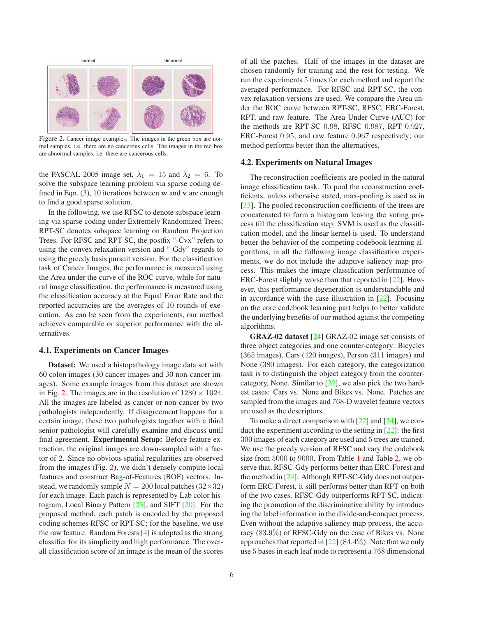<span id="page-5-1"></span>

<span id="page-5-0"></span>Figure 2. Cancer image examples. The images in the green box are normal samples. i.e. there are no cancerous cells. The images in the red box are abnormal samples, i.e. there are cancerous cells.

the PASCAL 2005 image set,  $\lambda_1 = 15$  and  $\lambda_2 = 6$ . To solve the subspace learning problem via sparse coding defined in Eqn.  $(3)$ , 10 iterations between w and v are enough to find a good sparse solution.

In the following, we use RFSC to denote subspace learning via sparse coding under Extremely Randomized Trees; RPT-SC denotes subspace learning on Random Projection Trees. For RFSC and RPT-SC, the postfix "-Cvx" refers to using the convex relaxation version and "-Gdy" regards to using the greedy basis pursuit version. For the classification task of Cancer Images, the performance is measured using the Area under the curve of the ROC curve, while for natural image classification, the performance is measured using the classification accuracy at the Equal Error Rate and the reported accuracies are the averages of 10 rounds of execution. As can be seen from the experiments, our method achieves comparable or superior performance with the alternatives.

#### 4.1. Experiments on Cancer Images

Dataset: We used a histopathology image data set with 60 colon images (30 cancer images and 30 non-cancer images). Some example images from this dataset are shown in Fig. [2.](#page-5-0) The images are in the resolution of  $1280 \times 1024$ . All the images are labeled as cancer or non-cancer by two pathologists independently. If disagreement happens for a certain image, these two pathologists together with a third senior pathologist will carefully examine and discuss until final agreement. Experimental Setup: Before feature extraction, the original images are down-sampled with a factor of 2. Since no obvious spatial regularities are observed from the images (Fig. [2\)](#page-5-0), we didn't densely compute local features and construct Bag-of-Features (BOF) vectors. Instead, we randomly sample  $N = 200$  local patches  $(32 \times 32)$ for each image. Each patch is represented by Lab color histogram, Local Binary Pattern [\[23\]](#page-7-26), and SIFT [\[20\]](#page-7-27). For the proposed method, each patch is encoded by the proposed coding schemes RFSC or RPT-SC; for the baseline, we use the raw feature. Random Forests [\[4\]](#page-7-2) is adopted as the strong classifier for its simplicity and high performance. The overall classification score of an image is the mean of the scores of all the patches. Half of the images in the dataset are chosen randomly for training and the rest for testing. We run the experiments 5 times for each method and report the averaged performance. For RFSC and RPT-SC, the convex relaxation versions are used. We compare the Area under the ROC curve between RPT-SC, RFSC, ERC-Forest, RPT, and raw feature. The Area Under Curve (AUC) for the methods are RPT-SC 0.98, RFSC 0.987, RPT 0.927, ERC-Forest 0.95, and raw feature 0.967 respectively; our method performs better than the alternatives.

#### 4.2. Experiments on Natural Images

The reconstruction coefficients are pooled in the natural image classification task. To pool the reconstruction coefficients, unless otherwise stated, max-pooling is used as in [\[33\]](#page-7-15). The pooled reconstruction coefficients of the trees are concatenated to form a histogram leaving the voting process till the classification step. SVM is used as the classification model, and the linear kernel is used. To understand better the behavior of the competing codebook learning algorithms, in all the following image classification experiments, we do not include the adaptive saliency map process. This makes the image classification performance of ERC-Forest slightly worse than that reported in [\[22\]](#page-7-18). However, this performance degeneration is understandable and in accordance with the case illustration in  $[22]$ . Focusing on the core codebook learning part helps to better validate the underlying benefits of our method against the competing algorithms.

GRAZ-02 dataset [\[24\]](#page-7-28) GRAZ-02 image set consists of three object categories and one counter-category: Bicycles (365 images), Cars (420 images), Person (311 images) and None (380 images). For each category, the categorization task is to distinguish the object category from the countercategory, None. Similar to [\[22\]](#page-7-18), we also pick the two hardest cases: Cars vs. None and Bikes vs. None. Patches are sampled from the images and 768-D wavelet feature vectors are used as the descriptors.

To make a direct comparison with [\[22\]](#page-7-18) and [\[24\]](#page-7-28), we conduct the experiment according to the setting in [\[22\]](#page-7-18): the first 300 images of each category are used and 5 trees are trained. We use the greedy version of RFSC and vary the codebook size from 5000 to 9000. From Table [1](#page-6-0) and Table [2,](#page-6-1) we observe that, RFSC-Gdy performs better than ERC-Forest and the method in [\[24\]](#page-7-28). Although RPT-SC-Gdy does not outperform ERC-Forest, it still performs better than RPT on both of the two cases. RFSC-Gdy outperforms RPT-SC, indicating the promotion of the discriminative ability by introducing the label information in the divide-and-conquer process. Even without the adaptive saliency map process, the accuracy (83.9%) of RFSC-Gdy on the case of Bikes vs. None approaches that reported in  $[22]$  (84.4%). Note that we only use 5 bases in each leaf node to represent a 768 dimensional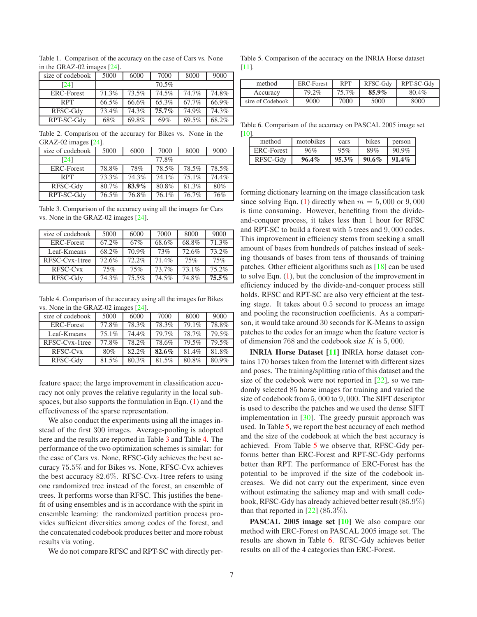<span id="page-6-6"></span><span id="page-6-0"></span>Table 1. Comparison of the accuracy on the case of Cars vs. None in the GRAZ-02 images [\[24\]](#page-7-28). size of codebook 5000 6000 7000 8000 9000

| [24]              | 70.5% |       |          |       |       |
|-------------------|-------|-------|----------|-------|-------|
| <b>ERC-Forest</b> | 71.3% | 73.5% | 74.5%    | 74.7% | 74.8% |
| <b>RPT</b>        | 66.5% | 66.6% | 65.3%    | 67.7% | 66.9% |
| RFSC-Gdy          | 73.4% | 74.3% | $75.7\%$ | 74.9% | 74.3% |
| RPT-SC-Gdv        | 68%   | 69.8% | 69%      | 69.5% | 68.2% |

<span id="page-6-1"></span>Table 2. Comparison of the accuracy for Bikes vs. None in the GRAZ-02 images [\[24\]](#page-7-28).

| size of codebook  | 5000  | 6000  | 7000  | 8000  | 9000  |
|-------------------|-------|-------|-------|-------|-------|
| [24]              |       |       | 77.8% |       |       |
| <b>ERC-Forest</b> | 78.8% | 78%   | 78.5% | 78.5% | 78.5% |
| <b>RPT</b>        | 73.3% | 74.3% | 74.1% | 75.1% | 74.4% |
| RFSC-Gdy          | 80.7% | 83.9% | 80.8% | 81.3% | 80%   |
| RPT-SC-Gdy        | 76.5% | 76.8% | 76.1% | 76.7% | 76%   |

<span id="page-6-2"></span>Table 3. Comparison of the accuracy using all the images for Cars vs. None in the GRAZ-02 images [\[24\]](#page-7-28).

| size of codebook  | 5000  | 6000  | 7000  | 8000  | 9000     |
|-------------------|-------|-------|-------|-------|----------|
| <b>ERC-Forest</b> | 67.2% | 67%   | 68.6% | 68.8% | 71.3%    |
| Leaf-Kmeans       | 68.2% | 70.9% | 73%   | 72.6% | 73.2%    |
| RFSC-Cvx-1tree    | 72.6% | 72.2% | 71.4% | 75%   | 75%      |
| RFSC-Cvx          | 75%   | 75%   | 73.7% | 73.1% | 75.2%    |
| RFSC-Gdy          | 74.3% | 75.5% | 74.5% | 74.8% | $75.5\%$ |

<span id="page-6-3"></span>Table 4. Comparison of the accuracy using all the images for Bikes vs. None in the GRAZ-02 images [\[24\]](#page-7-28).

| size of codebook  | 5000     | 6000     | 7000  | 8000     | 9000  |
|-------------------|----------|----------|-------|----------|-------|
| <b>ERC-Forest</b> | 77.8%    | 78.3%    | 78.3% | $79.1\%$ | 78.8% |
| Leaf-Kmeans       | $75.1\%$ | 74.4%    | 79.7% | 78.7%    | 79.5% |
| RFSC-Cvx-1tree    | 77.8%    | 78.2%    | 78.6% | 79.5%    | 79.5% |
| RFSC-Cvx          | 80%      | $82.2\%$ | 82.6% | 81.4%    | 81.8% |
| RFSC-Gdv          | 81.5%    | 80.3%    | 81.5% | 80.8%    | 80.9% |

feature space; the large improvement in classification accuracy not only proves the relative regularity in the local subspaces, but also supports the formulation in Eqn.  $(1)$  and the effectiveness of the sparse representation.

We also conduct the experiments using all the images instead of the first 300 images. Average-pooling is adopted here and the results are reported in Table [3](#page-6-2) and Table [4.](#page-6-3) The performance of the two optimization schemes is similar: for the case of Cars vs. None, RFSC-Gdy achieves the best accuracy 75.5% and for Bikes vs. None, RFSC-Cvx achieves the best accuracy 82.6%. RFSC-Cvx-1tree refers to using one randomized tree instead of the forest, an ensemble of trees. It performs worse than RFSC. This justifies the benefit of using ensembles and is in accordance with the spirit in ensemble learning: the randomized partition process provides sufficient diversities among codes of the forest, and the concatenated codebook produces better and more robust results via voting.

We do not compare RFSC and RPT-SC with directly per-

<span id="page-6-4"></span>Table 5. Comparison of the accuracy on the INRIA Horse dataset [\[11\]](#page-7-29).

| method           | <b>ERC-Forest</b> | <b>RPT</b> | RFSC-Gdv | RPT-SC-Gdv |
|------------------|-------------------|------------|----------|------------|
| Accuracy         | 79.2%             | 75.7%      | $85.9\%$ | 80.4%      |
| size of Codebook | 9000              | 7000       | 5000     | 8000       |

Table 6. Comparison of the accuracy on PASCAL 2005 image set [\[10\]](#page-7-30).

<span id="page-6-5"></span>

| method     | motobikes | cars     | bikes    | person   |
|------------|-----------|----------|----------|----------|
| ERC-Forest | 96%       | 95%      | 89%      | $90.9\%$ |
| RFSC-Gdv   | $96.4\%$  | $95.3\%$ | $90.6\%$ | 91.4%    |

forming dictionary learning on the image classification task since solving Eqn. [\(1\)](#page-1-0) directly when  $m = 5,000$  or 9,000 is time consuming. However, benefiting from the divideand-conquer process, it takes less than 1 hour for RFSC and RPT-SC to build a forest with 5 trees and 9, 000 codes. This improvement in efficiency stems from seeking a small amount of bases from hundreds of patches instead of seeking thousands of bases from tens of thousands of training patches. Other efficient algorithms such as [\[18\]](#page-7-31) can be used to solve Eqn. [\(1\)](#page-1-0), but the conclusion of the improvement in efficiency induced by the divide-and-conquer process still holds. RFSC and RPT-SC are also very efficient at the testing stage. It takes about 0.5 second to process an image and pooling the reconstruction coefficients. As a comparison, it would take around 30 seconds for K-Means to assign patches to the codes for an image when the feature vector is of dimension 768 and the codebook size  $K$  is 5,000.

INRIA Horse Dataset [\[11\]](#page-7-29) INRIA horse dataset contains 170 horses taken from the Internet with different sizes and poses. The training/splitting ratio of this dataset and the size of the codebook were not reported in [\[22\]](#page-7-18), so we randomly selected 85 horse images for training and varied the size of codebook from 5, 000 to 9, 000. The SIFT descriptor is used to describe the patches and we used the dense SIFT implementation in [\[30\]](#page-7-32). The greedy pursuit approach was used. In Table [5,](#page-6-4) we report the best accuracy of each method and the size of the codebook at which the best accuracy is achieved. From Table [5](#page-6-4) we observe that, RFSC-Gdy performs better than ERC-Forest and RPT-SC-Gdy performs better than RPT. The performance of ERC-Forest has the potential to be improved if the size of the codebook increases. We did not carry out the experiment, since even without estimating the saliency map and with small codebook, RFSC-Gdy has already achieved better result (85.9%) than that reported in  $[22]$  (85.3%).

PASCAL 2005 image set [\[10\]](#page-7-30) We also compare our method with ERC-Forest on PASCAL 2005 image set. The results are shown in Table [6.](#page-6-5) RFSC-Gdy achieves better results on all of the 4 categories than ERC-Forest.